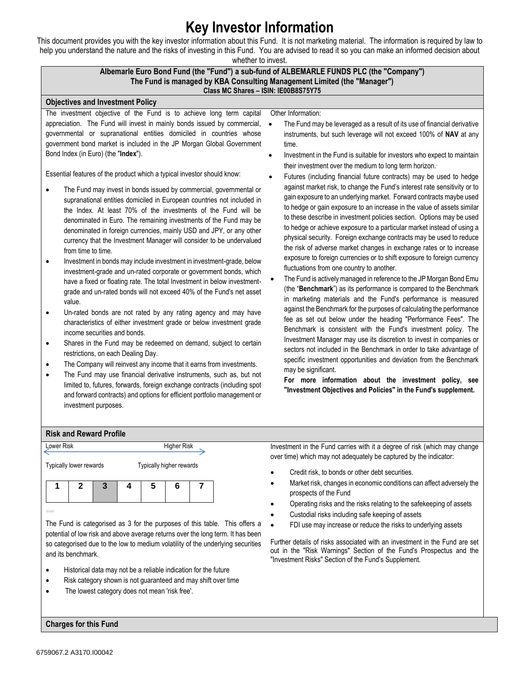## **Key Investor Information**

This document provides you with the key investor information about this Fund. It is not marketing material. The information is required by law to help you understand the nature and the risks of investing in this Fund. You are advised to read it so you can make an informed decision about

whether to invest.

## **Albemarle Euro Bond Fund (the "Fund") a sub-fund of ALBEMARLE FUNDS PLC (the "Company") The Fund is managed by KBA Consulting Management Limited (the "Manager") Class MC Shares – ISIN: IE00B8S75Y75**

## **Objectives and Investment Policy**

The investment objective of the Fund is to achieve long term capital appreciation. The Fund will invest in mainly bonds issued by commercial, governmental or supranational entities domiciled in countries whose government bond market is included in the JP Morgan Global Government Bond Index (in Euro) (the "**Index**").

Essential features of the product which a typical investor should know:

- The Fund may invest in bonds issued by commercial, governmental or supranational entities domiciled in European countries not included in the Index. At least 70% of the investments of the Fund will be denominated in Euro. The remaining investments of the Fund may be denominated in foreign currencies, mainly USD and JPY, or any other currency that the Investment Manager will consider to be undervalued from time to time.
- Investment in bonds may include investment in investment-grade, below investment-grade and un-rated corporate or government bonds, which have a fixed or floating rate. The total Investment in below investmentgrade and un-rated bonds will not exceed 40% of the Fund's net asset value.
- Un-rated bonds are not rated by any rating agency and may have characteristics of either investment grade or below investment grade income securities and bonds.
- Shares in the Fund may be redeemed on demand, subject to certain restrictions, on each Dealing Day.
- The Company will reinvest any income that it earns from investments.
- The Fund may use financial derivative instruments, such as, but not limited to, futures, forwards, foreign exchange contracts (including spot and forward contracts) and options for efficient portfolio management or investment purposes.

Other Information:

- The Fund may be leveraged as a result of its use of financial derivative instruments, but such leverage will not exceed 100% of **NAV** at any time.
- Investment in the Fund is suitable for investors who expect to maintain their investment over the medium to long term horizon.
- Futures (including financial future contracts) may be used to hedge against market risk, to change the Fund's interest rate sensitivity or to gain exposure to an underlying market. Forward contracts maybe used to hedge or gain exposure to an increase in the value of assets similar to these describe in investment policies section. Options may be used to hedge or achieve exposure to a particular market instead of using a physical security. Foreign exchange contracts may be used to reduce the risk of adverse market changes in exchange rates or to increase exposure to foreign currencies or to shift exposure to foreign currency fluctuations from one country to another.
- The Fund is actively managed in reference to the JP Morgan Bond Emu (the "**Benchmark**") as its performance is compared to the Benchmark in marketing materials and the Fund's performance is measured against the Benchmark for the purposes of calculating the performance fee as set out below under the heading "Performance Fees". The Benchmark is consistent with the Fund's investment policy. The Investment Manager may use its discretion to invest in companies or sectors not included in the Benchmark in order to take advantage of specific investment opportunities and deviation from the Benchmark may be significant.

**For more information about the investment policy, see "Investment Objectives and Policies" in the Fund's supplement.**

## **Risk and Reward Profile**



The Fund is categorised as 3 for the purposes of this table. This offers a potential of low risk and above average returns over the long term. It has been so categorised due to the low to medium volatility of the underlying securities and its benchmark.

- Historical data may not be a reliable indication for the future
- Risk category shown is not guaranteed and may shift over time
- The lowest category does not mean 'risk free'.

Investment in the Fund carries with it a degree of risk (which may change over time) which may not adequately be captured by the indicator:

- Credit risk, to bonds or other debt securities.
- Market risk, changes in economic conditions can affect adversely the prospects of the Fund
- Operating risks and the risks relating to the safekeeping of assets
- Custodial risks including safe keeping of assets
- FDI use may increase or reduce the risks to underlying assets

Further details of risks associated with an investment in the Fund are set out in the "Risk Warnings" Section of the Fund's Prospectus and the "Investment Risks" Section of the Fund's Supplement.

**Charges for this Fund**